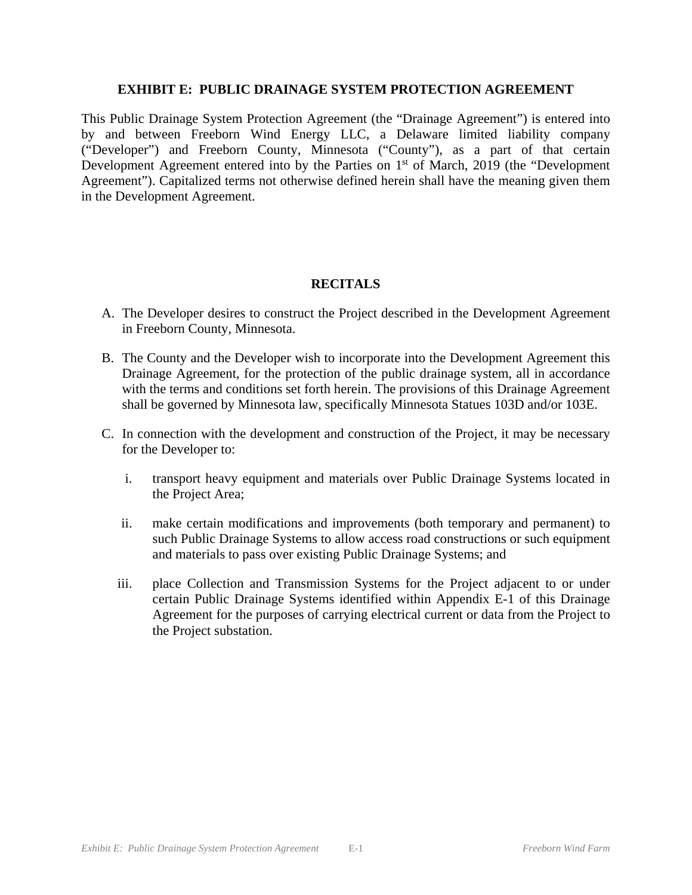### **EXHIBIT E: PUBLIC DRAINAGE SYSTEM PROTECTION AGREEMENT**

This Public Drainage System Protection Agreement (the "Drainage Agreement") is entered into by and between Freeborn Wind Energy LLC, a Delaware limited liability company ("Developer") and Freeborn County, Minnesota ("County"), as a part of that certain Development Agreement entered into by the Parties on  $1<sup>st</sup>$  of March, 2019 (the "Development Agreement"). Capitalized terms not otherwise defined herein shall have the meaning given them in the Development Agreement.

# **RECITALS**

- A. The Developer desires to construct the Project described in the Development Agreement in Freeborn County, Minnesota.
- B. The County and the Developer wish to incorporate into the Development Agreement this Drainage Agreement, for the protection of the public drainage system, all in accordance with the terms and conditions set forth herein. The provisions of this Drainage Agreement shall be governed by Minnesota law, specifically Minnesota Statues 103D and/or 103E.
- C. In connection with the development and construction of the Project, it may be necessary for the Developer to:
	- i. transport heavy equipment and materials over Public Drainage Systems located in the Project Area;
	- ii. make certain modifications and improvements (both temporary and permanent) to such Public Drainage Systems to allow access road constructions or such equipment and materials to pass over existing Public Drainage Systems; and
	- iii. place Collection and Transmission Systems for the Project adjacent to or under certain Public Drainage Systems identified within Appendix E-1 of this Drainage Agreement for the purposes of carrying electrical current or data from the Project to the Project substation.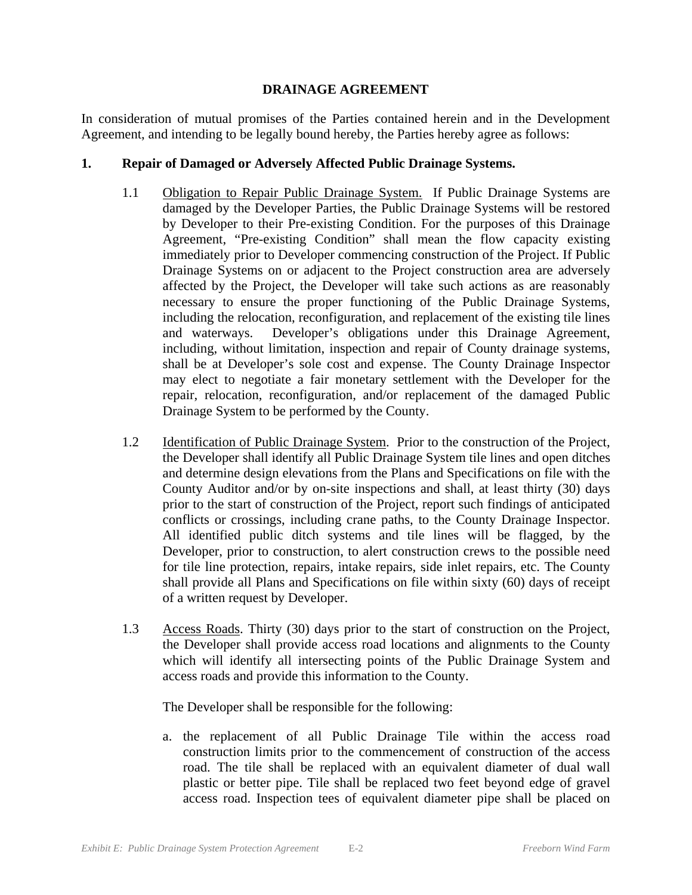### **DRAINAGE AGREEMENT**

In consideration of mutual promises of the Parties contained herein and in the Development Agreement, and intending to be legally bound hereby, the Parties hereby agree as follows:

## **1. Repair of Damaged or Adversely Affected Public Drainage Systems.**

- 1.1 Obligation to Repair Public Drainage System. If Public Drainage Systems are damaged by the Developer Parties, the Public Drainage Systems will be restored by Developer to their Pre-existing Condition. For the purposes of this Drainage Agreement, "Pre-existing Condition" shall mean the flow capacity existing immediately prior to Developer commencing construction of the Project. If Public Drainage Systems on or adjacent to the Project construction area are adversely affected by the Project, the Developer will take such actions as are reasonably necessary to ensure the proper functioning of the Public Drainage Systems, including the relocation, reconfiguration, and replacement of the existing tile lines and waterways. Developer's obligations under this Drainage Agreement, including, without limitation, inspection and repair of County drainage systems, shall be at Developer's sole cost and expense. The County Drainage Inspector may elect to negotiate a fair monetary settlement with the Developer for the repair, relocation, reconfiguration, and/or replacement of the damaged Public Drainage System to be performed by the County.
- 1.2 Identification of Public Drainage System. Prior to the construction of the Project, the Developer shall identify all Public Drainage System tile lines and open ditches and determine design elevations from the Plans and Specifications on file with the County Auditor and/or by on-site inspections and shall, at least thirty (30) days prior to the start of construction of the Project, report such findings of anticipated conflicts or crossings, including crane paths, to the County Drainage Inspector. All identified public ditch systems and tile lines will be flagged, by the Developer, prior to construction, to alert construction crews to the possible need for tile line protection, repairs, intake repairs, side inlet repairs, etc. The County shall provide all Plans and Specifications on file within sixty (60) days of receipt of a written request by Developer.
- 1.3 Access Roads. Thirty (30) days prior to the start of construction on the Project, the Developer shall provide access road locations and alignments to the County which will identify all intersecting points of the Public Drainage System and access roads and provide this information to the County.

The Developer shall be responsible for the following:

a. the replacement of all Public Drainage Tile within the access road construction limits prior to the commencement of construction of the access road. The tile shall be replaced with an equivalent diameter of dual wall plastic or better pipe. Tile shall be replaced two feet beyond edge of gravel access road. Inspection tees of equivalent diameter pipe shall be placed on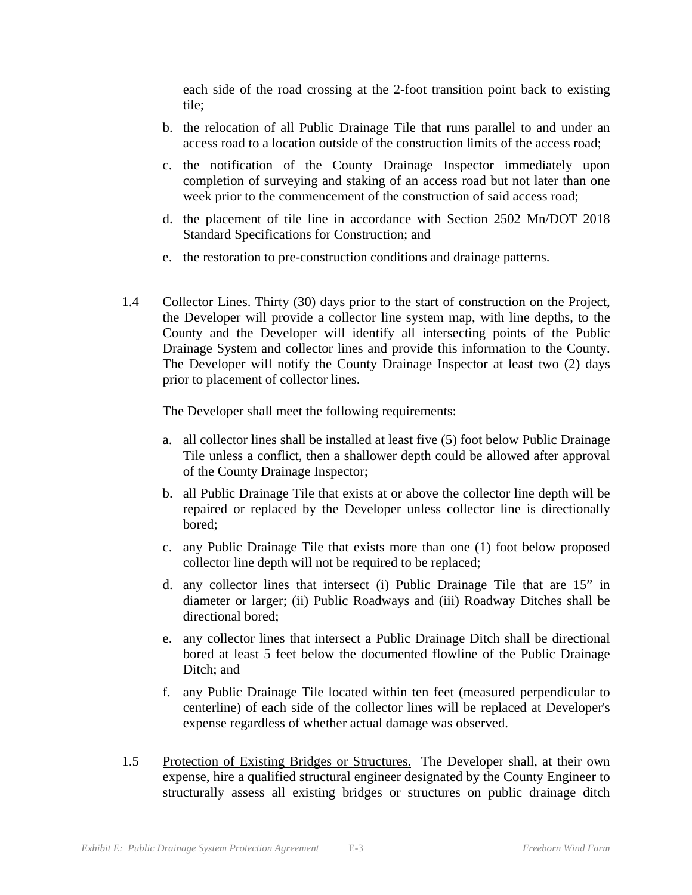each side of the road crossing at the 2-foot transition point back to existing tile;

- b. the relocation of all Public Drainage Tile that runs parallel to and under an access road to a location outside of the construction limits of the access road;
- c. the notification of the County Drainage Inspector immediately upon completion of surveying and staking of an access road but not later than one week prior to the commencement of the construction of said access road;
- d. the placement of tile line in accordance with Section 2502 Mn/DOT 2018 Standard Specifications for Construction; and
- e. the restoration to pre-construction conditions and drainage patterns.
- 1.4 Collector Lines. Thirty (30) days prior to the start of construction on the Project, the Developer will provide a collector line system map, with line depths, to the County and the Developer will identify all intersecting points of the Public Drainage System and collector lines and provide this information to the County. The Developer will notify the County Drainage Inspector at least two (2) days prior to placement of collector lines.

The Developer shall meet the following requirements:

- a. all collector lines shall be installed at least five (5) foot below Public Drainage Tile unless a conflict, then a shallower depth could be allowed after approval of the County Drainage Inspector;
- b. all Public Drainage Tile that exists at or above the collector line depth will be repaired or replaced by the Developer unless collector line is directionally bored;
- c. any Public Drainage Tile that exists more than one (1) foot below proposed collector line depth will not be required to be replaced;
- d. any collector lines that intersect (i) Public Drainage Tile that are 15" in diameter or larger; (ii) Public Roadways and (iii) Roadway Ditches shall be directional bored;
- e. any collector lines that intersect a Public Drainage Ditch shall be directional bored at least 5 feet below the documented flowline of the Public Drainage Ditch; and
- f. any Public Drainage Tile located within ten feet (measured perpendicular to centerline) of each side of the collector lines will be replaced at Developer's expense regardless of whether actual damage was observed.
- 1.5 Protection of Existing Bridges or Structures. The Developer shall, at their own expense, hire a qualified structural engineer designated by the County Engineer to structurally assess all existing bridges or structures on public drainage ditch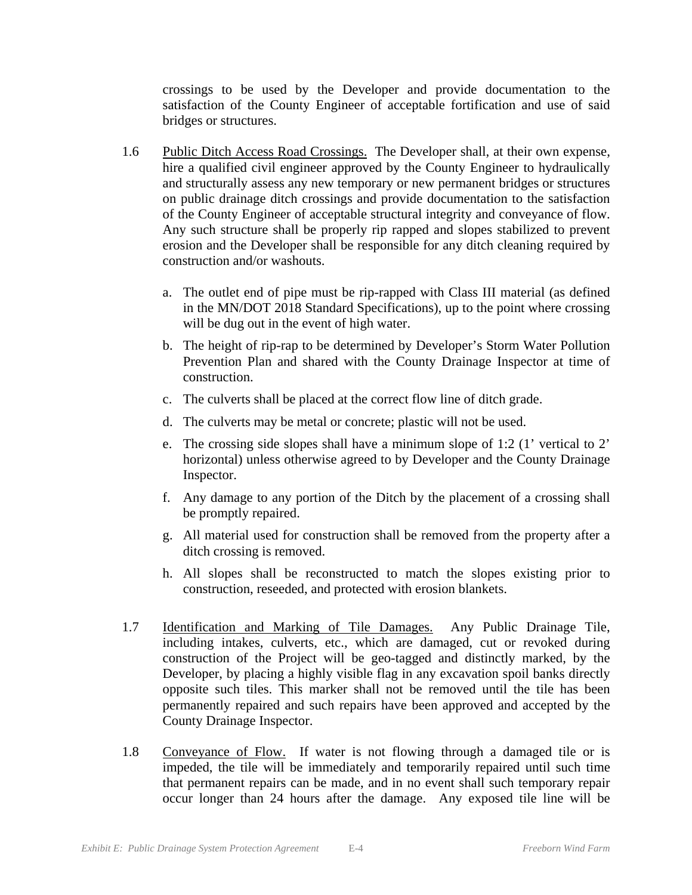crossings to be used by the Developer and provide documentation to the satisfaction of the County Engineer of acceptable fortification and use of said bridges or structures.

- 1.6 Public Ditch Access Road Crossings. The Developer shall, at their own expense, hire a qualified civil engineer approved by the County Engineer to hydraulically and structurally assess any new temporary or new permanent bridges or structures on public drainage ditch crossings and provide documentation to the satisfaction of the County Engineer of acceptable structural integrity and conveyance of flow. Any such structure shall be properly rip rapped and slopes stabilized to prevent erosion and the Developer shall be responsible for any ditch cleaning required by construction and/or washouts.
	- a. The outlet end of pipe must be rip-rapped with Class III material (as defined in the MN/DOT 2018 Standard Specifications), up to the point where crossing will be dug out in the event of high water.
	- b. The height of rip-rap to be determined by Developer's Storm Water Pollution Prevention Plan and shared with the County Drainage Inspector at time of construction.
	- c. The culverts shall be placed at the correct flow line of ditch grade.
	- d. The culverts may be metal or concrete; plastic will not be used.
	- e. The crossing side slopes shall have a minimum slope of 1:2 (1' vertical to 2' horizontal) unless otherwise agreed to by Developer and the County Drainage Inspector.
	- f. Any damage to any portion of the Ditch by the placement of a crossing shall be promptly repaired.
	- g. All material used for construction shall be removed from the property after a ditch crossing is removed.
	- h. All slopes shall be reconstructed to match the slopes existing prior to construction, reseeded, and protected with erosion blankets.
- 1.7 Identification and Marking of Tile Damages. Any Public Drainage Tile, including intakes, culverts, etc., which are damaged, cut or revoked during construction of the Project will be geo-tagged and distinctly marked, by the Developer, by placing a highly visible flag in any excavation spoil banks directly opposite such tiles. This marker shall not be removed until the tile has been permanently repaired and such repairs have been approved and accepted by the County Drainage Inspector.
- 1.8 Conveyance of Flow. If water is not flowing through a damaged tile or is impeded, the tile will be immediately and temporarily repaired until such time that permanent repairs can be made, and in no event shall such temporary repair occur longer than 24 hours after the damage. Any exposed tile line will be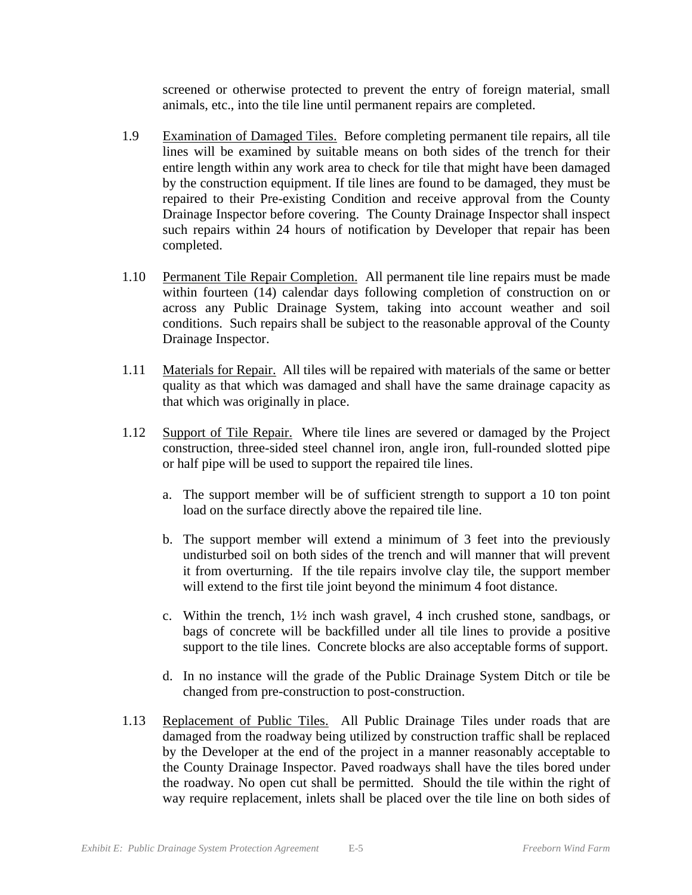screened or otherwise protected to prevent the entry of foreign material, small animals, etc., into the tile line until permanent repairs are completed.

- 1.9 Examination of Damaged Tiles. Before completing permanent tile repairs, all tile lines will be examined by suitable means on both sides of the trench for their entire length within any work area to check for tile that might have been damaged by the construction equipment. If tile lines are found to be damaged, they must be repaired to their Pre-existing Condition and receive approval from the County Drainage Inspector before covering. The County Drainage Inspector shall inspect such repairs within 24 hours of notification by Developer that repair has been completed.
- 1.10 Permanent Tile Repair Completion. All permanent tile line repairs must be made within fourteen (14) calendar days following completion of construction on or across any Public Drainage System, taking into account weather and soil conditions. Such repairs shall be subject to the reasonable approval of the County Drainage Inspector.
- 1.11 Materials for Repair. All tiles will be repaired with materials of the same or better quality as that which was damaged and shall have the same drainage capacity as that which was originally in place.
- 1.12 Support of Tile Repair. Where tile lines are severed or damaged by the Project construction, three-sided steel channel iron, angle iron, full-rounded slotted pipe or half pipe will be used to support the repaired tile lines.
	- a. The support member will be of sufficient strength to support a 10 ton point load on the surface directly above the repaired tile line.
	- b. The support member will extend a minimum of 3 feet into the previously undisturbed soil on both sides of the trench and will manner that will prevent it from overturning. If the tile repairs involve clay tile, the support member will extend to the first tile joint beyond the minimum 4 foot distance.
	- c. Within the trench, 1½ inch wash gravel, 4 inch crushed stone, sandbags, or bags of concrete will be backfilled under all tile lines to provide a positive support to the tile lines. Concrete blocks are also acceptable forms of support.
	- d. In no instance will the grade of the Public Drainage System Ditch or tile be changed from pre-construction to post-construction.
- 1.13 Replacement of Public Tiles. All Public Drainage Tiles under roads that are damaged from the roadway being utilized by construction traffic shall be replaced by the Developer at the end of the project in a manner reasonably acceptable to the County Drainage Inspector. Paved roadways shall have the tiles bored under the roadway. No open cut shall be permitted. Should the tile within the right of way require replacement, inlets shall be placed over the tile line on both sides of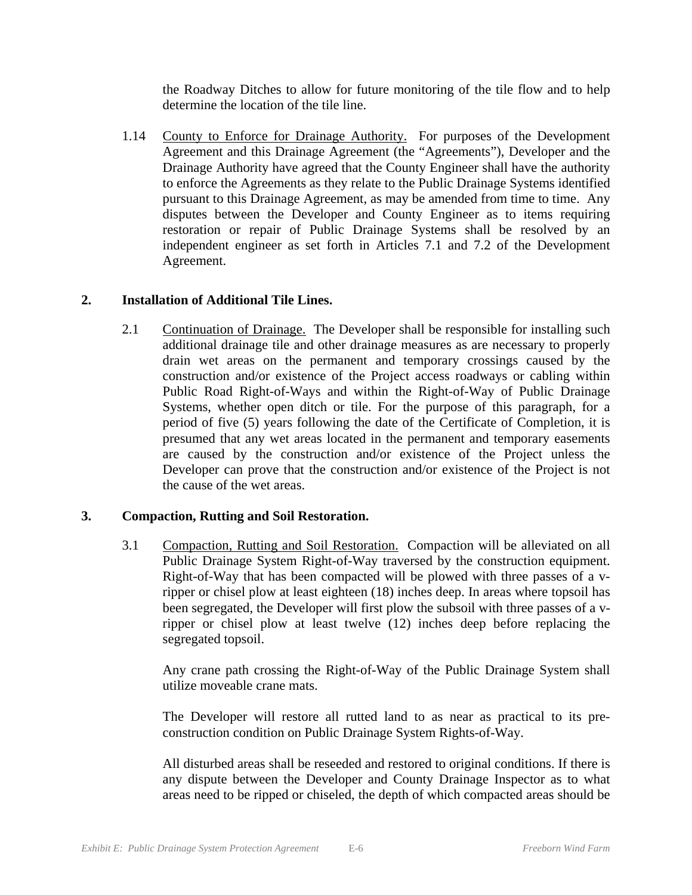the Roadway Ditches to allow for future monitoring of the tile flow and to help determine the location of the tile line.

1.14 County to Enforce for Drainage Authority. For purposes of the Development Agreement and this Drainage Agreement (the "Agreements"), Developer and the Drainage Authority have agreed that the County Engineer shall have the authority to enforce the Agreements as they relate to the Public Drainage Systems identified pursuant to this Drainage Agreement, as may be amended from time to time. Any disputes between the Developer and County Engineer as to items requiring restoration or repair of Public Drainage Systems shall be resolved by an independent engineer as set forth in Articles 7.1 and 7.2 of the Development Agreement.

## **2. Installation of Additional Tile Lines.**

2.1 Continuation of Drainage. The Developer shall be responsible for installing such additional drainage tile and other drainage measures as are necessary to properly drain wet areas on the permanent and temporary crossings caused by the construction and/or existence of the Project access roadways or cabling within Public Road Right-of-Ways and within the Right-of-Way of Public Drainage Systems, whether open ditch or tile. For the purpose of this paragraph, for a period of five (5) years following the date of the Certificate of Completion, it is presumed that any wet areas located in the permanent and temporary easements are caused by the construction and/or existence of the Project unless the Developer can prove that the construction and/or existence of the Project is not the cause of the wet areas.

# **3. Compaction, Rutting and Soil Restoration.**

3.1 Compaction, Rutting and Soil Restoration. Compaction will be alleviated on all Public Drainage System Right-of-Way traversed by the construction equipment. Right-of-Way that has been compacted will be plowed with three passes of a vripper or chisel plow at least eighteen (18) inches deep. In areas where topsoil has been segregated, the Developer will first plow the subsoil with three passes of a vripper or chisel plow at least twelve (12) inches deep before replacing the segregated topsoil.

Any crane path crossing the Right-of-Way of the Public Drainage System shall utilize moveable crane mats.

The Developer will restore all rutted land to as near as practical to its preconstruction condition on Public Drainage System Rights-of-Way.

All disturbed areas shall be reseeded and restored to original conditions. If there is any dispute between the Developer and County Drainage Inspector as to what areas need to be ripped or chiseled, the depth of which compacted areas should be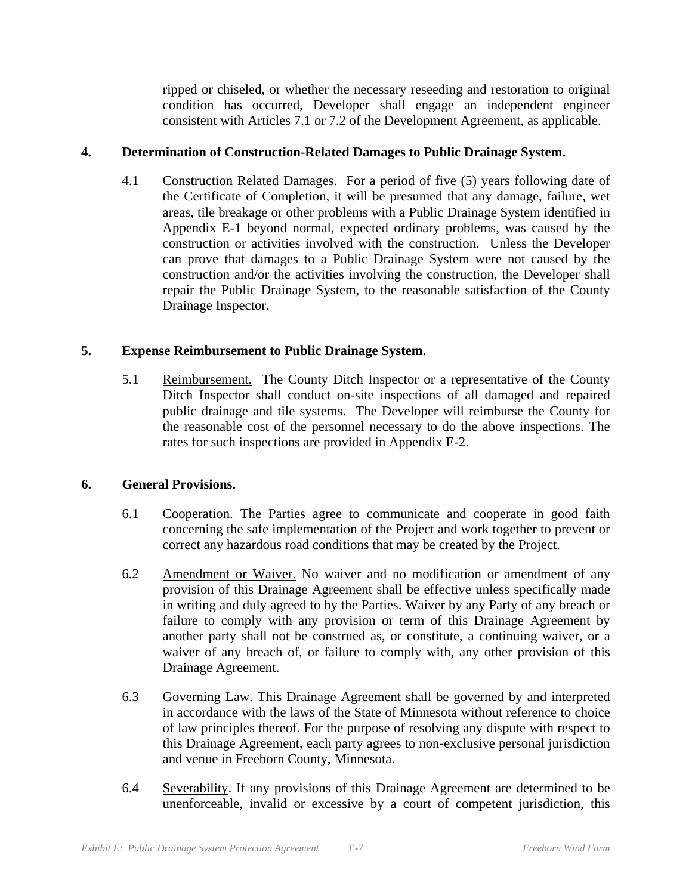ripped or chiseled, or whether the necessary reseeding and restoration to original condition has occurred, Developer shall engage an independent engineer consistent with Articles 7.1 or 7.2 of the Development Agreement, as applicable.

# **4. Determination of Construction-Related Damages to Public Drainage System.**

4.1 Construction Related Damages. For a period of five (5) years following date of the Certificate of Completion, it will be presumed that any damage, failure, wet areas, tile breakage or other problems with a Public Drainage System identified in Appendix E-1 beyond normal, expected ordinary problems, was caused by the construction or activities involved with the construction. Unless the Developer can prove that damages to a Public Drainage System were not caused by the construction and/or the activities involving the construction, the Developer shall repair the Public Drainage System, to the reasonable satisfaction of the County Drainage Inspector.

# **5. Expense Reimbursement to Public Drainage System.**

5.1 Reimbursement. The County Ditch Inspector or a representative of the County Ditch Inspector shall conduct on-site inspections of all damaged and repaired public drainage and tile systems. The Developer will reimburse the County for the reasonable cost of the personnel necessary to do the above inspections. The rates for such inspections are provided in Appendix E-2.

# **6. General Provisions.**

- 6.1 Cooperation. The Parties agree to communicate and cooperate in good faith concerning the safe implementation of the Project and work together to prevent or correct any hazardous road conditions that may be created by the Project.
- 6.2 Amendment or Waiver. No waiver and no modification or amendment of any provision of this Drainage Agreement shall be effective unless specifically made in writing and duly agreed to by the Parties. Waiver by any Party of any breach or failure to comply with any provision or term of this Drainage Agreement by another party shall not be construed as, or constitute, a continuing waiver, or a waiver of any breach of, or failure to comply with, any other provision of this Drainage Agreement.
- 6.3 Governing Law. This Drainage Agreement shall be governed by and interpreted in accordance with the laws of the State of Minnesota without reference to choice of law principles thereof. For the purpose of resolving any dispute with respect to this Drainage Agreement, each party agrees to non-exclusive personal jurisdiction and venue in Freeborn County, Minnesota.
- 6.4 Severability. If any provisions of this Drainage Agreement are determined to be unenforceable, invalid or excessive by a court of competent jurisdiction, this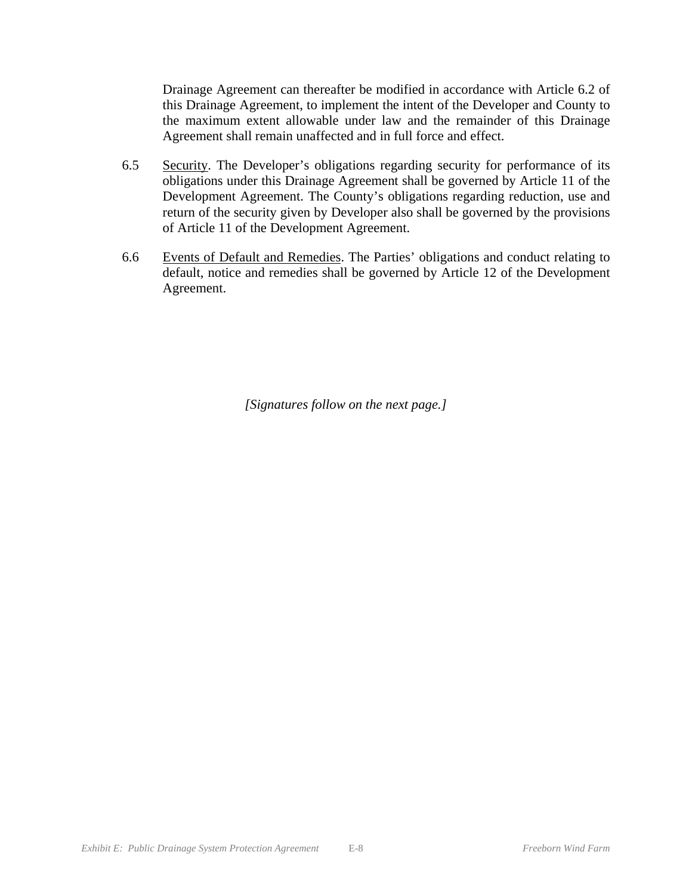Drainage Agreement can thereafter be modified in accordance with Article 6.2 of this Drainage Agreement, to implement the intent of the Developer and County to the maximum extent allowable under law and the remainder of this Drainage Agreement shall remain unaffected and in full force and effect.

- 6.5 Security. The Developer's obligations regarding security for performance of its obligations under this Drainage Agreement shall be governed by Article 11 of the Development Agreement. The County's obligations regarding reduction, use and return of the security given by Developer also shall be governed by the provisions of Article 11 of the Development Agreement.
- 6.6 Events of Default and Remedies. The Parties' obligations and conduct relating to default, notice and remedies shall be governed by Article 12 of the Development Agreement.

*[Signatures follow on the next page.]*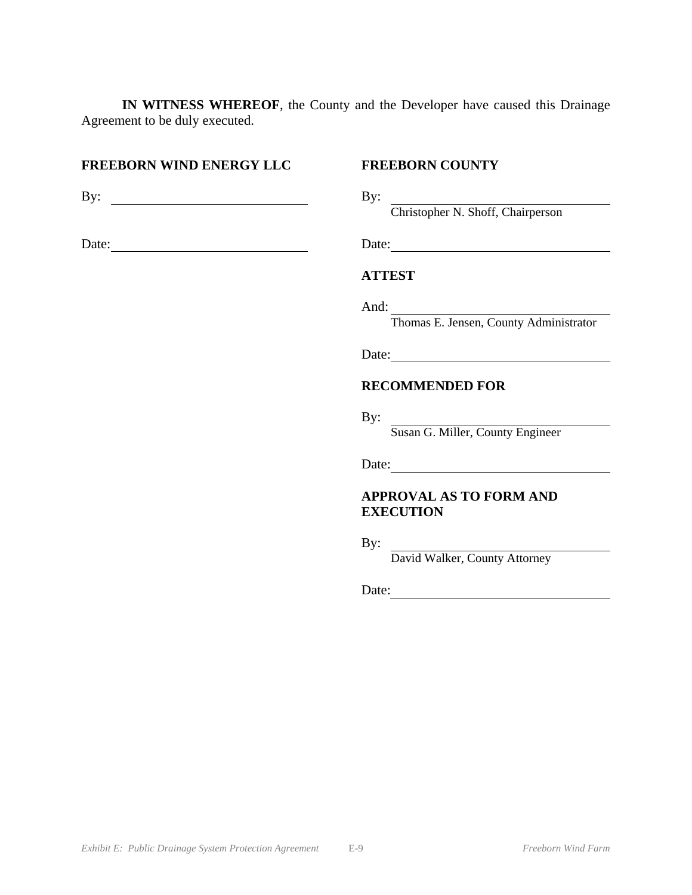**IN WITNESS WHEREOF**, the County and the Developer have caused this Drainage Agreement to be duly executed.

### **FREEBORN WIND ENERGY LLC FREEBORN COUNTY**

By: By:

Date: Date: Date: Date:

Christopher N. Shoff, Chairperson

### **ATTEST**

And:

Thomas E. Jensen, County Administrator

Date:

### **RECOMMENDED FOR**

By:

Susan G. Miller, County Engineer

Date:

### **APPROVAL AS TO FORM AND EXECUTION**

By:

David Walker, County Attorney

Date: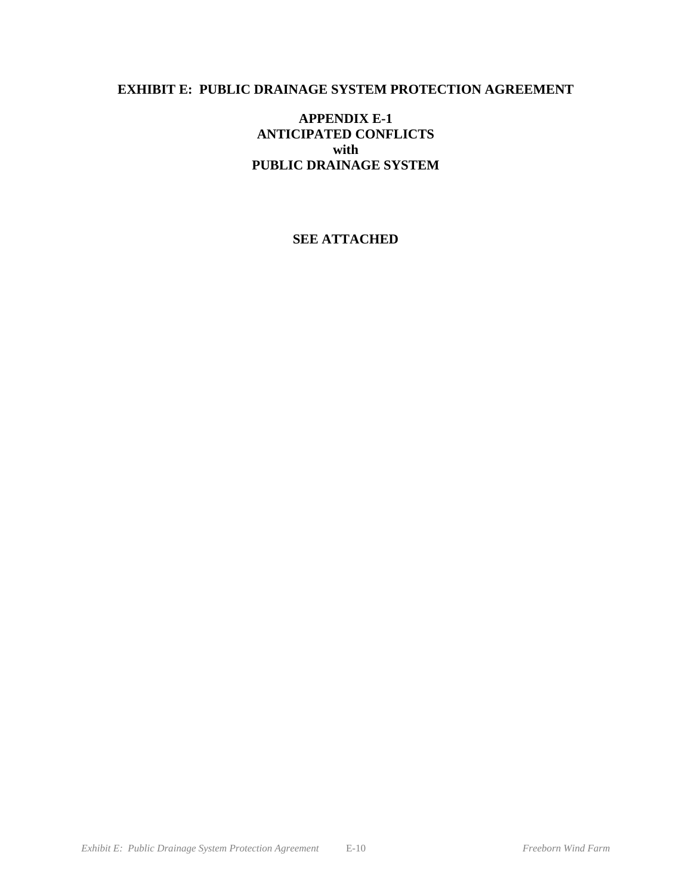# **EXHIBIT E: PUBLIC DRAINAGE SYSTEM PROTECTION AGREEMENT**

# **APPENDIX E-1 ANTICIPATED CONFLICTS with PUBLIC DRAINAGE SYSTEM**

# **SEE ATTACHED**